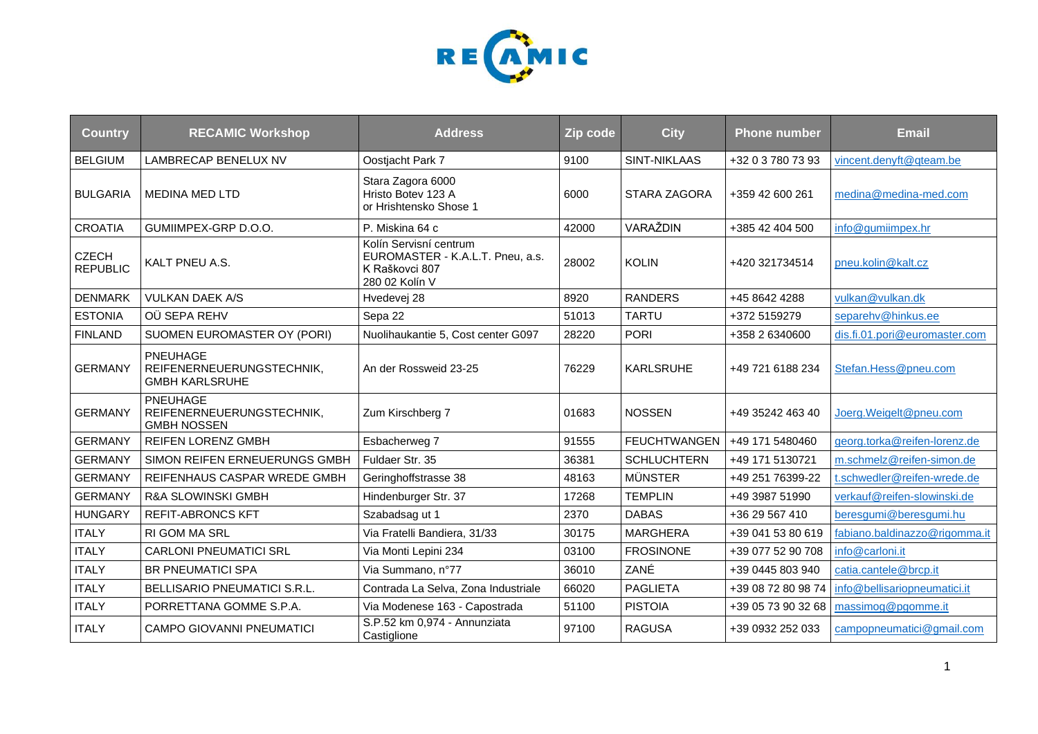

| <b>Country</b>                  | <b>RECAMIC Workshop</b>                                            | <b>Address</b>                                                                                 | Zip code | <b>City</b>         | <b>Phone number</b> | <b>Email</b>                  |
|---------------------------------|--------------------------------------------------------------------|------------------------------------------------------------------------------------------------|----------|---------------------|---------------------|-------------------------------|
| <b>BELGIUM</b>                  | LAMBRECAP BENELUX NV                                               | Oostjacht Park 7                                                                               | 9100     | <b>SINT-NIKLAAS</b> | +32 0 3 780 73 93   | vincent.denyft@qteam.be       |
| <b>BULGARIA</b>                 | <b>MEDINA MED LTD</b>                                              | Stara Zagora 6000<br>Hristo Botev 123 A<br>or Hrishtensko Shose 1                              | 6000     | STARA ZAGORA        | +359 42 600 261     | medina@medina-med.com         |
| <b>CROATIA</b>                  | GUMIIMPEX-GRP D.O.O.                                               | P. Miskina 64 c                                                                                | 42000    | VARAŽDIN            | +385 42 404 500     | info@gumiimpex.hr             |
| <b>CZECH</b><br><b>REPUBLIC</b> | KALT PNEU A.S.                                                     | Kolín Servisní centrum<br>EUROMASTER - K.A.L.T. Pneu, a.s.<br>K Raškovci 807<br>280 02 Kolín V | 28002    | <b>KOLIN</b>        | +420 321734514      | pneu.kolin@kalt.cz            |
| <b>DENMARK</b>                  | <b>VULKAN DAEK A/S</b>                                             | Hvedevej 28                                                                                    | 8920     | <b>RANDERS</b>      | +45 8642 4288       | vulkan@vulkan.dk              |
| <b>ESTONIA</b>                  | OÜ SEPA REHV                                                       | Sepa 22                                                                                        | 51013    | <b>TARTU</b>        | +372 5159279        | separehv@hinkus.ee            |
| <b>FINLAND</b>                  | SUOMEN EUROMASTER OY (PORI)                                        | Nuolihaukantie 5, Cost center G097                                                             | 28220    | <b>PORI</b>         | +358 2 6340600      | dis.fi.01.pori@euromaster.com |
| <b>GERMANY</b>                  | PNEUHAGE<br>REIFENERNEUERUNGSTECHNIK,<br><b>GMBH KARLSRUHE</b>     | An der Rossweid 23-25                                                                          | 76229    | <b>KARLSRUHE</b>    | +49 721 6188 234    | Stefan.Hess@pneu.com          |
| <b>GERMANY</b>                  | <b>PNEUHAGE</b><br>REIFENERNEUERUNGSTECHNIK,<br><b>GMBH NOSSEN</b> | Zum Kirschberg 7                                                                               | 01683    | <b>NOSSEN</b>       | +49 35242 463 40    | Joerg.Weigelt@pneu.com        |
| <b>GERMANY</b>                  | <b>REIFEN LORENZ GMBH</b>                                          | Esbacherweg 7                                                                                  | 91555    | <b>FEUCHTWANGEN</b> | +49 171 5480460     | georg.torka@reifen-lorenz.de  |
| <b>GERMANY</b>                  | SIMON REIFEN ERNEUERUNGS GMBH                                      | Fuldaer Str. 35                                                                                | 36381    | <b>SCHLUCHTERN</b>  | +49 171 5130721     | m.schmelz@reifen-simon.de     |
| <b>GERMANY</b>                  | REIFENHAUS CASPAR WREDE GMBH                                       | Geringhoffstrasse 38                                                                           | 48163    | <b>MÜNSTER</b>      | +49 251 76399-22    | t.schwedler@reifen-wrede.de   |
| <b>GERMANY</b>                  | <b>R&amp;A SLOWINSKI GMBH</b>                                      | Hindenburger Str. 37                                                                           | 17268    | <b>TEMPLIN</b>      | +49 3987 51990      | verkauf@reifen-slowinski.de   |
| <b>HUNGARY</b>                  | <b>REFIT-ABRONCS KFT</b>                                           | Szabadsag ut 1                                                                                 | 2370     | <b>DABAS</b>        | +36 29 567 410      | beresgumi@beresgumi.hu        |
| <b>ITALY</b>                    | <b>RI GOM MA SRL</b>                                               | Via Fratelli Bandiera, 31/33                                                                   | 30175    | <b>MARGHERA</b>     | +39 041 53 80 619   | fabiano.baldinazzo@rigomma.it |
| <b>ITALY</b>                    | <b>CARLONI PNEUMATICI SRL</b>                                      | Via Monti Lepini 234                                                                           | 03100    | <b>FROSINONE</b>    | +39 077 52 90 708   | info@carloni.it               |
| <b>ITALY</b>                    | <b>BR PNEUMATICI SPA</b>                                           | Via Summano, n°77                                                                              | 36010    | ZANÉ                | +39 0445 803 940    | catia.cantele@brcp.it         |
| <b>ITALY</b>                    | <b>BELLISARIO PNEUMATICI S.R.L.</b>                                | Contrada La Selva, Zona Industriale                                                            | 66020    | <b>PAGLIETA</b>     | +39 08 72 80 98 74  | info@bellisariopneumatici.it  |
| <b>ITALY</b>                    | PORRETTANA GOMME S.P.A.                                            | Via Modenese 163 - Capostrada                                                                  | 51100    | <b>PISTOIA</b>      | +39 05 73 90 32 68  | massimog@pgomme.it            |
| <b>ITALY</b>                    | <b>CAMPO GIOVANNI PNEUMATICI</b>                                   | S.P.52 km 0,974 - Annunziata<br>Castiglione                                                    | 97100    | <b>RAGUSA</b>       | +39 0932 252 033    | campopneumatici@gmail.com     |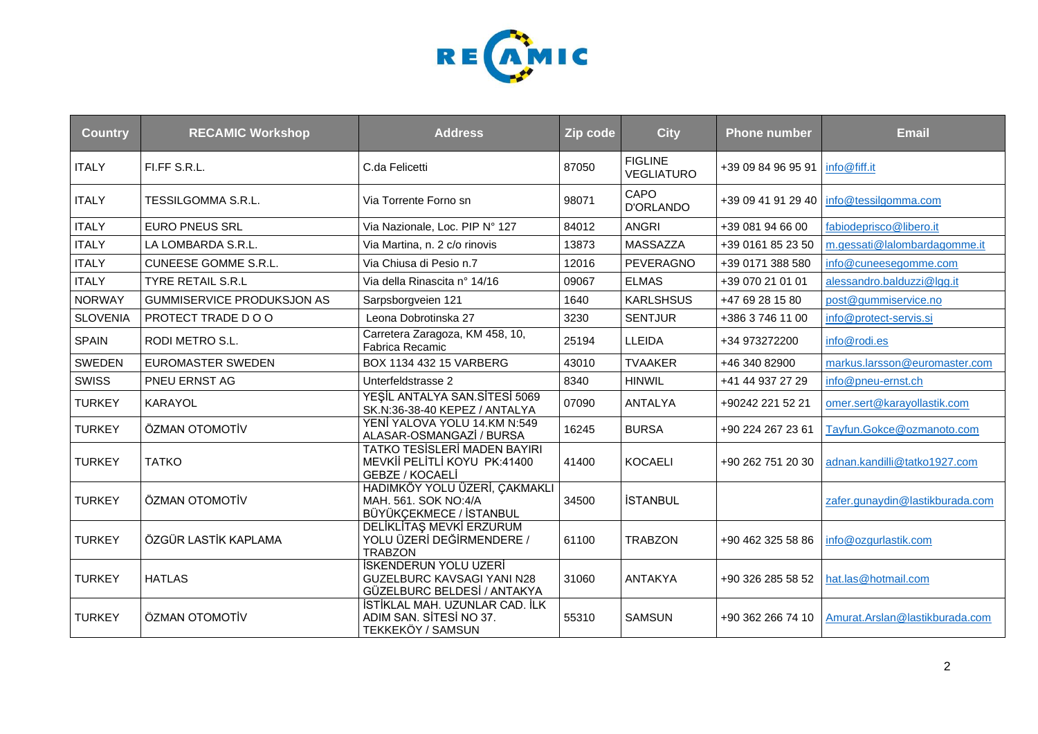

| <b>Country</b>  | <b>RECAMIC Workshop</b>           | <b>Address</b>                                                                                   | Zip code | <b>City</b>                         | <b>Phone number</b>               | <b>Email</b>                    |
|-----------------|-----------------------------------|--------------------------------------------------------------------------------------------------|----------|-------------------------------------|-----------------------------------|---------------------------------|
| <b>ITALY</b>    | FI.FF S.R.L.                      | C.da Felicetti                                                                                   | 87050    | <b>FIGLINE</b><br><b>VEGLIATURO</b> | +39 09 84 96 95 91   info@fiff.it |                                 |
| <b>ITALY</b>    | <b>TESSILGOMMA S.R.L.</b>         | Via Torrente Forno sn                                                                            | 98071    | CAPO<br>D'ORLANDO                   | +39 09 41 91 29 40                | info@tessilgomma.com            |
| <b>ITALY</b>    | <b>EURO PNEUS SRL</b>             | Via Nazionale, Loc. PIP Nº 127                                                                   | 84012    | <b>ANGRI</b>                        | +39 081 94 66 00                  | fabiodeprisco@libero.it         |
| <b>ITALY</b>    | LA LOMBARDA S.R.L.                | Via Martina, n. 2 c/o rinovis                                                                    | 13873    | <b>MASSAZZA</b>                     | +39 0161 85 23 50                 | m.gessati@lalombardagomme.it    |
| <b>ITALY</b>    | <b>CUNEESE GOMME S.R.L.</b>       | Via Chiusa di Pesio n.7                                                                          | 12016    | PEVERAGNO                           | +39 0171 388 580                  | info@cuneesegomme.com           |
| <b>ITALY</b>    | <b>TYRE RETAIL S.R.L</b>          | Via della Rinascita nº 14/16                                                                     | 09067    | <b>ELMAS</b>                        | +39 070 21 01 01                  | alessandro.balduzzi@lgg.it      |
| <b>NORWAY</b>   | <b>GUMMISERVICE PRODUKSJON AS</b> | Sarpsborgveien 121                                                                               | 1640     | <b>KARLSHSUS</b>                    | +47 69 28 15 80                   | post@gummiservice.no            |
| <b>SLOVENIA</b> | PROTECT TRADE DOO                 | Leona Dobrotinska 27                                                                             | 3230     | <b>SENTJUR</b>                      | +386 3 746 11 00                  | info@protect-servis.si          |
| <b>SPAIN</b>    | RODI METRO S.L.                   | Carretera Zaragoza, KM 458, 10,<br>Fabrica Recamic                                               | 25194    | <b>LLEIDA</b>                       | +34 973272200                     | info@rodi.es                    |
| <b>SWEDEN</b>   | EUROMASTER SWEDEN                 | BOX 1134 432 15 VARBERG                                                                          | 43010    | <b>TVAAKER</b>                      | +46 340 82900                     | markus.larsson@euromaster.com   |
| <b>SWISS</b>    | <b>PNEU ERNST AG</b>              | Unterfeldstrasse 2                                                                               | 8340     | <b>HINWIL</b>                       | +41 44 937 27 29                  | info@pneu-ernst.ch              |
| <b>TURKEY</b>   | <b>KARAYOL</b>                    | YEŞİL ANTALYA SAN.SİTESİ 5069<br>SK.N:36-38-40 KEPEZ / ANTALYA                                   | 07090    | ANTALYA                             | +90242 221 52 21                  | omer.sert@karayollastik.com     |
| <b>TURKEY</b>   | ÖZMAN OTOMOTİV                    | YENİ YALOVA YOLU 14.KM N:549<br>ALASAR-OSMANGAZİ / BURSA                                         | 16245    | <b>BURSA</b>                        | +90 224 267 23 61                 | Tayfun.Gokce@ozmanoto.com       |
| <b>TURKEY</b>   | <b>TATKO</b>                      | <b>TATKO TESISLERI MADEN BAYIRI</b><br>MEVKİİ PELİTLİ KOYU PK:41400<br><b>GEBZE / KOCAELI</b>    | 41400    | <b>KOCAELI</b>                      | +90 262 751 20 30                 | adnan.kandilli@tatko1927.com    |
| <b>TURKEY</b>   | ÖZMAN OTOMOTİV                    | HADIMKÖY YOLU ÜZERİ, ÇAKMAKLI<br>MAH. 561. SOK NO:4/A<br>BÜYÜKÇEKMECE / İSTANBUL                 | 34500    | <b>İSTANBUL</b>                     |                                   | zafer.gunaydin@lastikburada.com |
| <b>TURKEY</b>   | ÖZGÜR LASTİK KAPLAMA              | DELİKLİTAŞ MEVKİ ERZURUM<br>YOLU ÜZERİ DEĞİRMENDERE /<br><b>TRABZON</b>                          | 61100    | <b>TRABZON</b>                      | +90 462 325 58 86                 | info@ozgurlastik.com            |
| <b>TURKEY</b>   | <b>HATLAS</b>                     | <b>İSKENDERUN YOLU UZERİ</b><br><b>GUZELBURC KAVSAGI YANI N28</b><br>GÜZELBURC BELDESİ / ANTAKYA | 31060    | <b>ANTAKYA</b>                      | +90 326 285 58 52                 | hat.las@hotmail.com             |
| <b>TURKEY</b>   | ÖZMAN OTOMOTİV                    | İSTİKLAL MAH. UZUNLAR CAD. İLK<br>ADIM SAN. SİTESİ NO 37.<br>TEKKEKÖY / SAMSUN                   | 55310    | <b>SAMSUN</b>                       | +90 362 266 74 10                 | Amurat.Arslan@lastikburada.com  |